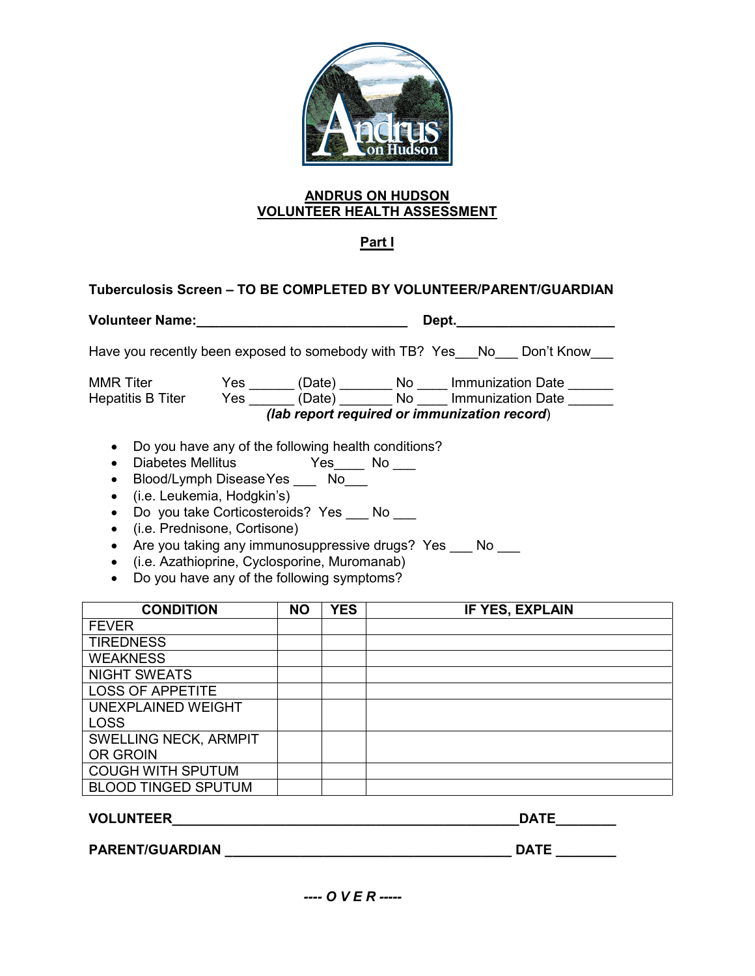

# **ANDRUS ON HUDSON VOLUNTEER HEALTH ASSESSMENT**

# **Part I**

# **Tuberculosis Screen – TO BE COMPLETED BY VOLUNTEER/PARENT/GUARDIAN**

| Volunteer Name:                                            |                                |  |            | Dept.                                                                                                |  |  |
|------------------------------------------------------------|--------------------------------|--|------------|------------------------------------------------------------------------------------------------------|--|--|
| Have you recently been exposed to somebody with TB? Yes No |                                |  |            | Don't Know                                                                                           |  |  |
| <b>MMR Titer</b><br>Hepatitis B Titer                      | Yes<br>(Date)<br>Yes<br>(Date) |  | No.<br>No. | <b>Immunization Date</b><br><b>Immunization Date</b><br>(lab report required or immunization record) |  |  |

- Do you have any of the following health conditions?
- Diabetes Mellitus Yes\_\_\_\_ No \_\_\_
- Blood/Lymph DiseaseYes \_\_\_ No\_\_\_
- (i.e. Leukemia, Hodgkin's)
- Do you take Corticosteroids? Yes No
- (i.e. Prednisone, Cortisone)
- Are you taking any immunosuppressive drugs? Yes \_\_\_ No \_\_\_
- (i.e. Azathioprine, Cyclosporine, Muromanab)
- Do you have any of the following symptoms?

| <b>CONDITION</b>             | <b>NO</b> | <b>YES</b> | IF YES, EXPLAIN |
|------------------------------|-----------|------------|-----------------|
| <b>FEVER</b>                 |           |            |                 |
| <b>TIREDNESS</b>             |           |            |                 |
| <b>WEAKNESS</b>              |           |            |                 |
| <b>NIGHT SWEATS</b>          |           |            |                 |
| <b>LOSS OF APPETITE</b>      |           |            |                 |
| UNEXPLAINED WEIGHT           |           |            |                 |
| <b>LOSS</b>                  |           |            |                 |
| <b>SWELLING NECK, ARMPIT</b> |           |            |                 |
| OR GROIN                     |           |            |                 |
| <b>COUGH WITH SPUTUM</b>     |           |            |                 |
| <b>BLOOD TINGED SPUTUM</b>   |           |            |                 |

**VOLUNTEER\_\_\_\_\_\_\_\_\_\_\_\_\_\_\_\_\_\_\_\_\_\_\_\_\_\_\_\_\_\_\_\_\_\_\_\_\_\_\_\_\_\_\_\_\_\_DATE\_\_\_\_\_\_\_\_**

**PARENT/GUARDIAN \_\_\_\_\_\_\_\_\_\_\_\_\_\_\_\_\_\_\_\_\_\_\_\_\_\_\_\_\_\_\_\_\_\_\_\_\_\_ DATE \_\_\_\_\_\_\_\_**